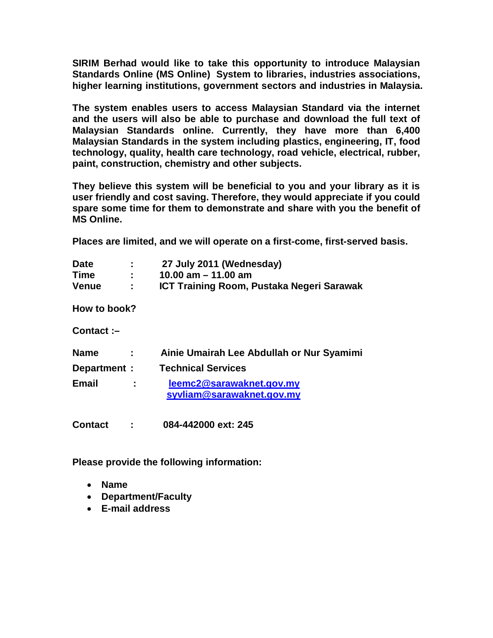**SIRIM Berhad would like to take this opportunity to introduce Malaysian Standards Online (MS Online) System to libraries, industries associations, higher learning institutions, government sectors and industries in Malaysia.** 

**The system enables users to access Malaysian Standard via the internet and the users will also be able to purchase and download the full text of Malaysian Standards online. Currently, they have more than 6,400 Malaysian Standards in the system including plastics, engineering, IT, food technology, quality, health care technology, road vehicle, electrical, rubber, paint, construction, chemistry and other subjects.** 

**They believe this system will be beneficial to you and your library as it is user friendly and cost saving. Therefore, they would appreciate if you could spare some time for them to demonstrate and share with you the benefit of MS Online.**

**Places are limited, and we will operate on a first-come, first-served basis.** 

| <b>Date</b>  | ٠<br>п. | 27 July 2011 (Wednesday)                  |
|--------------|---------|-------------------------------------------|
| Time         | ÷.      | 10.00 am $-$ 11.00 am                     |
| <b>Venue</b> |         | ICT Training Room, Pustaka Negeri Sarawak |

**How to book?**

**Contact :–**

| <b>Name</b>  |    | Ainie Umairah Lee Abdullah or Nur Syamimi             |
|--------------|----|-------------------------------------------------------|
| Department : |    | <b>Technical Services</b>                             |
| Email        | ÷. | leemc2@sarawaknet.gov.my<br>syvliam@sarawaknet.gov.my |

**Contact : 084-442000 ext: 245**

**Please provide the following information:**

- **Name**
- **Department/Faculty**
- **E-mail address**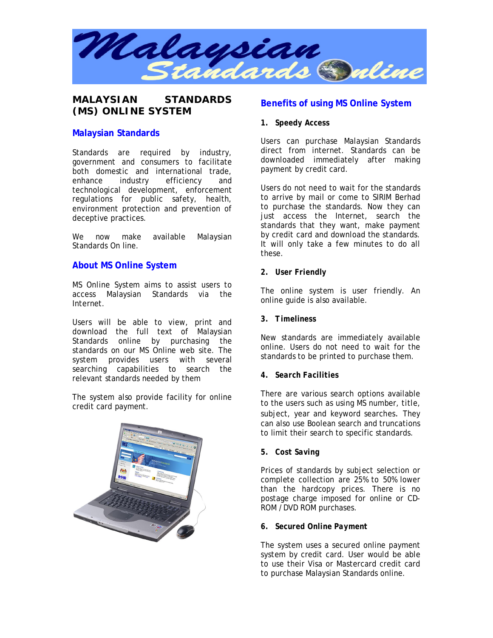

**MALAYSIAN STANDARDS (MS) ONLINE SYSTEM**

## **Malaysian Standards**

Standards are required by industry, government and consumers to facilitate both domestic and international trade, enhance industry efficiency and technological development, enforcement regulations for public safety, health, environment protection and prevention of deceptive practices.

We now make available Malaysian Standards On line.

## **About MS Online System**

MS Online System aims to assist users to access Malaysian Standards via the Internet.

Users will be able to view, print and download the full text of Malaysian Standards online by purchasing the standards on our MS Online web site. The system provides users with several searching capabilities to search the relevant standards needed by them

The system also provide facility for online credit card payment.



# **Benefits of using MS Online System**

#### *1. Speedy Access*

Users can purchase Malaysian Standards direct from internet. Standards can be downloaded immediately after making payment by credit card.

Users do not need to wait for the standards to arrive by mail or come to SIRIM Berhad to purchase the standards. Now they can just access the Internet, search the standards that they want, make payment by credit card and download the standards. It will only take a few minutes to do all these.

*2. User Friendly*

The online system is user friendly. An online guide is also available.

*3. Timeliness*

New standards are immediately available online. Users do not need to wait for the standards to be printed to purchase them.

*4. Search Facilities*

There are various search options available to the users such as using MS number, title, subject, year and keyword searches. They can also use Boolean search and truncations to limit their search to specific standards.

*5. Cost Saving*

Prices of standards by subject selection or complete collection are 25% to 50% lower than the hardcopy prices. There is no postage charge imposed for online or CD-ROM /DVD ROM purchases.

*6. Secured Online Payment*

The system uses a secured online payment system by credit card. User would be able to use their Visa or Mastercard credit card to purchase Malaysian Standards online.